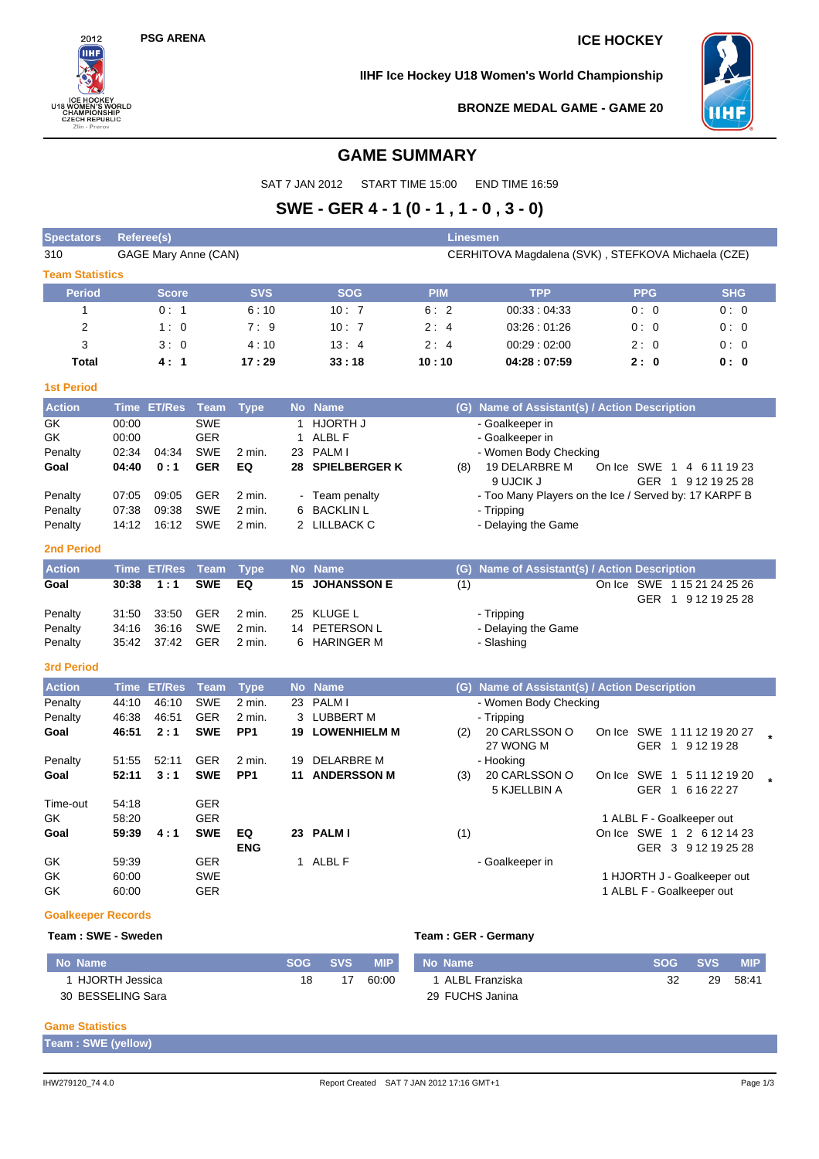$2012$ ÎІН

**ICE HOCKEY<br>U18 WOMEN'S WORLD<br>CHAMPIONSHIP<br>CZECH REPUBLIC<br>ZIIn - Prerov** 

## **PSG ARENA ICE HOCKEY**

### **IIHF Ice Hockey U18 Women's World Championship**



**BRONZE MEDAL GAME - GAME 20**

## **GAME SUMMARY**

SAT 7 JAN 2012 START TIME 15:00 END TIME 16:59

# **SWE - GER 4 - 1 (0 - 1 , 1 - 0 , 3 - 0)**

| <b>Spectators</b>                                                                                                                    | <b>Referee(s)</b>                                                                                              |                                                                                            |                                                                                                                                                                       |                                                                                               |                                                     |                                                                                                                                                                                                  |                   | Linesmen                                                                                                                                                                                                                                                                                |                                                          |                                                                    |  |  |  |
|--------------------------------------------------------------------------------------------------------------------------------------|----------------------------------------------------------------------------------------------------------------|--------------------------------------------------------------------------------------------|-----------------------------------------------------------------------------------------------------------------------------------------------------------------------|-----------------------------------------------------------------------------------------------|-----------------------------------------------------|--------------------------------------------------------------------------------------------------------------------------------------------------------------------------------------------------|-------------------|-----------------------------------------------------------------------------------------------------------------------------------------------------------------------------------------------------------------------------------------------------------------------------------------|----------------------------------------------------------|--------------------------------------------------------------------|--|--|--|
| 310                                                                                                                                  |                                                                                                                | GAGE Mary Anne (CAN)                                                                       |                                                                                                                                                                       |                                                                                               | CERHITOVA Magdalena (SVK), STEFKOVA Michaela (CZE)  |                                                                                                                                                                                                  |                   |                                                                                                                                                                                                                                                                                         |                                                          |                                                                    |  |  |  |
| <b>Team Statistics</b>                                                                                                               |                                                                                                                |                                                                                            |                                                                                                                                                                       |                                                                                               |                                                     |                                                                                                                                                                                                  |                   |                                                                                                                                                                                                                                                                                         |                                                          |                                                                    |  |  |  |
| <b>Period</b>                                                                                                                        |                                                                                                                | <b>Score</b>                                                                               |                                                                                                                                                                       | <b>SVS</b>                                                                                    |                                                     | <b>SOG</b>                                                                                                                                                                                       | <b>PIM</b>        | <b>TPP</b>                                                                                                                                                                                                                                                                              | <b>PPG</b>                                               | <b>SHG</b>                                                         |  |  |  |
| 1                                                                                                                                    |                                                                                                                | 0:1                                                                                        |                                                                                                                                                                       | 6:10                                                                                          |                                                     | 10:7                                                                                                                                                                                             | 6:2               | 00:33:04:33                                                                                                                                                                                                                                                                             | 0:0                                                      | 0:0                                                                |  |  |  |
| 2                                                                                                                                    |                                                                                                                | 1:0                                                                                        |                                                                                                                                                                       | 7:9                                                                                           |                                                     | 10:7                                                                                                                                                                                             | 2:4               | 03:26:01:26                                                                                                                                                                                                                                                                             | 0:0                                                      | 0:0                                                                |  |  |  |
| 3                                                                                                                                    |                                                                                                                | 3:0                                                                                        |                                                                                                                                                                       | 4:10                                                                                          |                                                     | 13:4                                                                                                                                                                                             | 2:4               | 00:29:02:00                                                                                                                                                                                                                                                                             | 2:0                                                      | 0:0                                                                |  |  |  |
| <b>Total</b>                                                                                                                         |                                                                                                                | 4:1                                                                                        |                                                                                                                                                                       | 17:29                                                                                         |                                                     | 33:18                                                                                                                                                                                            | 10:10             | 04:28:07:59                                                                                                                                                                                                                                                                             | 2:0                                                      | 0:0                                                                |  |  |  |
| <b>1st Period</b>                                                                                                                    |                                                                                                                |                                                                                            |                                                                                                                                                                       |                                                                                               |                                                     |                                                                                                                                                                                                  |                   |                                                                                                                                                                                                                                                                                         |                                                          |                                                                    |  |  |  |
| <b>Action</b>                                                                                                                        |                                                                                                                | Time ET/Res                                                                                | <b>Team</b>                                                                                                                                                           | <b>Type</b>                                                                                   |                                                     | No Name                                                                                                                                                                                          |                   | (G) Name of Assistant(s) / Action Description                                                                                                                                                                                                                                           |                                                          |                                                                    |  |  |  |
| GK<br>GK<br>Penalty<br>Goal<br>Penalty<br>Penalty<br>Penalty<br>2nd Period<br><b>Action</b><br>Goal<br>Penalty<br>Penalty<br>Penalty | 00:00<br>00:00<br>02:34<br>04:40<br>07:05<br>07:38<br>14:12<br><b>Time</b><br>30:38<br>31:50<br>34:16<br>35:42 | 04:34<br>0:1<br>09:05<br>09:38<br>16:12<br><b>ET/Res</b><br>1:1<br>33:50<br>36:16<br>37:42 | <b>SWE</b><br><b>GER</b><br><b>SWE</b><br><b>GER</b><br><b>GER</b><br><b>SWE</b><br><b>SWE</b><br><b>Team</b><br><b>SWE</b><br><b>GER</b><br><b>SWE</b><br><b>GER</b> | 2 min.<br>EQ<br>2 min.<br>2 min.<br>2 min.<br><b>Type</b><br>EQ<br>2 min.<br>2 min.<br>2 min. | 1<br>$\mathbf{1}$<br>23<br>6<br>15<br>25<br>14<br>6 | <b>HJORTH J</b><br>ALBL F<br><b>PALMI</b><br>28 SPIELBERGER K<br>Team penalty<br><b>BACKLIN L</b><br>2 LILLBACK C<br>No Name<br><b>JOHANSSON E</b><br>KLUGE L<br>PETERSON L<br><b>HARINGER M</b> | (8)<br>(G)<br>(1) | - Goalkeeper in<br>- Goalkeeper in<br>- Women Body Checking<br>19 DELARBRE M<br>9 UJCIK J<br>- Too Many Players on the Ice / Served by: 17 KARPF B<br>- Tripping<br>- Delaying the Game<br>Name of Assistant(s) / Action Description<br>- Tripping<br>- Delaying the Game<br>- Slashing | On Ice SWE 1 4 6 11 19 23<br>On Ice                      | GER 1 9 12 19 25 28<br>SWE 1 15 21 24 25 26<br>GER 1 9 12 19 25 28 |  |  |  |
| <b>3rd Period</b>                                                                                                                    |                                                                                                                |                                                                                            |                                                                                                                                                                       |                                                                                               |                                                     |                                                                                                                                                                                                  |                   |                                                                                                                                                                                                                                                                                         |                                                          |                                                                    |  |  |  |
| <b>Action</b>                                                                                                                        | <b>Time</b>                                                                                                    | <b>ET/Res</b>                                                                              | <b>Team</b>                                                                                                                                                           | <b>Type</b>                                                                                   |                                                     | No Name                                                                                                                                                                                          |                   | (G) Name of Assistant(s) / Action Description                                                                                                                                                                                                                                           |                                                          |                                                                    |  |  |  |
| Penalty<br>Penalty<br>Goal<br>Penalty                                                                                                | 44:10<br>46:38<br>46:51<br>51:55                                                                               | 46:10<br>46:51<br>2:1<br>52:11                                                             | <b>SWE</b><br><b>GER</b><br><b>SWE</b><br><b>GER</b>                                                                                                                  | 2 min.<br>2 min.<br>PP <sub>1</sub><br>2 min.                                                 | 3<br>19                                             | 23 PALM I<br><b>LUBBERT M</b><br><b>19 LOWENHIELM M</b><br>DELARBRE M                                                                                                                            | (2)               | - Women Body Checking<br>- Tripping<br>20 CARLSSON O<br>27 WONG M<br>- Hooking                                                                                                                                                                                                          | On Ice SWE 1 11 12 19 20 27                              | GER 1 9 12 19 28                                                   |  |  |  |
| Goal                                                                                                                                 | 52:11                                                                                                          | 3:1                                                                                        | <b>SWE</b>                                                                                                                                                            | PP <sub>1</sub>                                                                               | 11                                                  | <b>ANDERSSON M</b>                                                                                                                                                                               | (3)               | 20 CARLSSON O<br>5 KJELLBIN A                                                                                                                                                                                                                                                           | On Ice SWE 1 5 11 12 19 20                               | GER 1 6 16 22 27                                                   |  |  |  |
| Time-out<br>GK<br>Goal<br>GK                                                                                                         | 54:18<br>58:20<br>59:39<br>59:39                                                                               | 4:1                                                                                        | <b>GER</b><br><b>GER</b><br><b>SWE</b><br><b>GER</b>                                                                                                                  | EQ<br><b>ENG</b>                                                                              |                                                     | 23 PALM I<br>1 ALBL F                                                                                                                                                                            | (1)               | - Goalkeeper in                                                                                                                                                                                                                                                                         | 1 ALBL F - Goalkeeper out<br>On Ice SWE 1 2 6 12 14 23   | GER 3 9 12 19 25 28                                                |  |  |  |
| GK<br>GK                                                                                                                             | 60:00<br>60:00                                                                                                 |                                                                                            | <b>SWE</b><br><b>GER</b>                                                                                                                                              |                                                                                               |                                                     |                                                                                                                                                                                                  |                   |                                                                                                                                                                                                                                                                                         | 1 HJORTH J - Goalkeeper out<br>1 ALBL F - Goalkeeper out |                                                                    |  |  |  |
| <b>Goalkeeper Records</b>                                                                                                            |                                                                                                                |                                                                                            |                                                                                                                                                                       |                                                                                               |                                                     |                                                                                                                                                                                                  |                   |                                                                                                                                                                                                                                                                                         |                                                          |                                                                    |  |  |  |

#### **Team : SWE - Sweden Team : GER - Germany**

| No Name           | <b>SOG</b> | <b>SVS</b> | <b>MIP</b> | No Name          | <b>SOG</b> | <b>SVS</b> | <b>MIP</b> |
|-------------------|------------|------------|------------|------------------|------------|------------|------------|
| HJORTH Jessica    | 18         | 17         | 60:00      | 1 ALBL Franziska | 32         | 29         | 58:41      |
| 30 BESSELING Sara |            |            |            | 29 FUCHS Janina  |            |            |            |

#### **Game Statistics**

| Team: SWE (yellow) |
|--------------------|
|--------------------|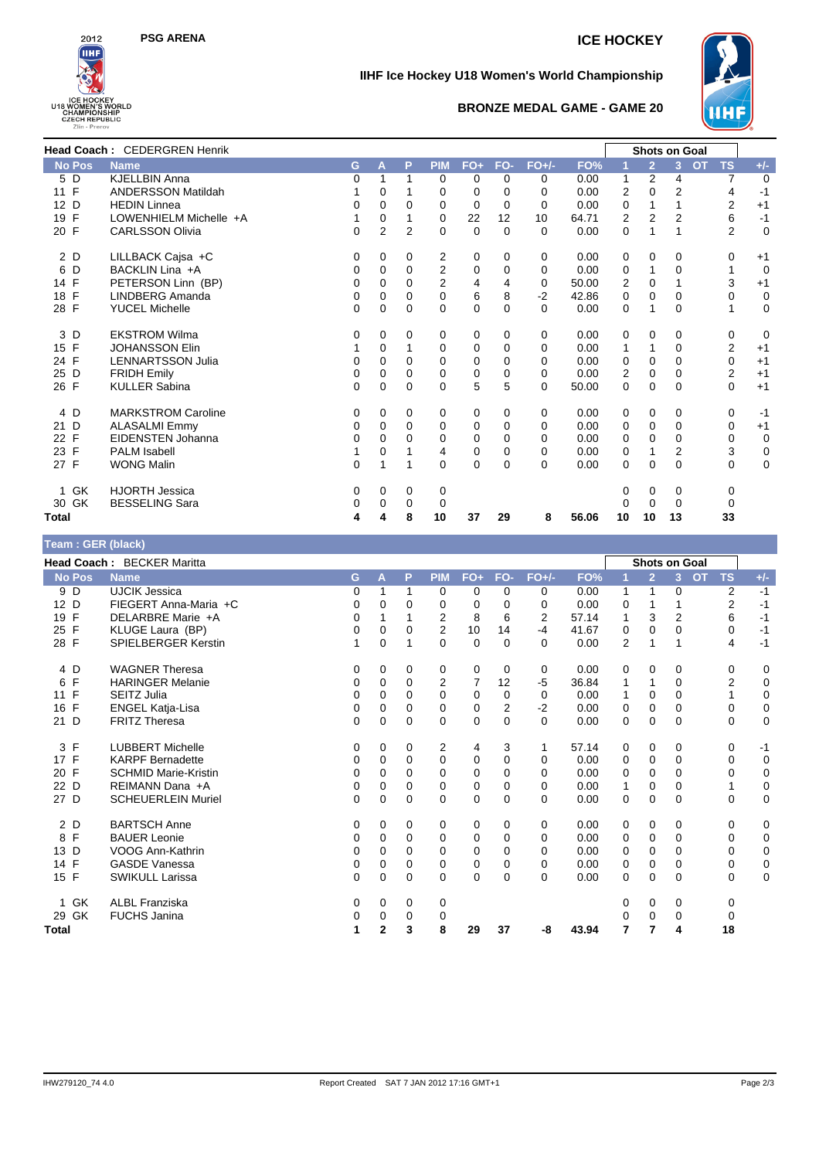



## **IIHF Ice Hockey U18 Women's World Championship**



## **BRONZE MEDAL GAME - GAME 20**

|                    | Head Coach: CEDERGREN Henrik |              |                |                |                |             |          |          |       |                |                | <b>Shots on Goal</b> |                        |             |
|--------------------|------------------------------|--------------|----------------|----------------|----------------|-------------|----------|----------|-------|----------------|----------------|----------------------|------------------------|-------------|
| <b>No Pos</b>      | <b>Name</b>                  | G            | A              | P              | <b>PIM</b>     | $FO+$       | FO-      | $FO+/-$  | FO%   |                | $\overline{2}$ | $\overline{3}$       | <b>TS</b><br><b>OT</b> | $+/-$       |
| 5 D                | <b>KJELLBIN Anna</b>         | 0            | 1              |                | 0              | 0           | 0        | 0        | 0.00  | $\mathbf{1}$   | $\overline{2}$ | 4                    | $\overline{7}$         | 0           |
| 11 F               | <b>ANDERSSON Matildah</b>    |              | $\Omega$       |                | 0              | $\Omega$    | 0        | 0        | 0.00  | $\overline{2}$ | $\mathbf{0}$   | $\overline{2}$       | $\overline{4}$         | $-1$        |
| 12 D               | <b>HEDIN Linnea</b>          | 0            | 0              | 0              | 0              | 0           | $\Omega$ | 0        | 0.00  | 0              | 1              |                      | $\overline{2}$         | $+1$        |
| 19 F               | LOWENHIELM Michelle +A       | 1            | $\Omega$       |                | $\Omega$       | 22          | 12       | 10       | 64.71 | $\overline{2}$ | $\overline{2}$ | $\overline{2}$       | 6                      | $-1$        |
| 20 F               | <b>CARLSSON Olivia</b>       | 0            | $\overline{2}$ | $\overline{2}$ | 0              | 0           | 0        | $\Omega$ | 0.00  | 0              | 1              |                      | $\overline{2}$         | $\mathbf 0$ |
| 2 D                | LILLBACK Cajsa +C            | 0            | 0              | 0              | 2              | 0           | 0        | 0        | 0.00  | 0              | $\mathbf 0$    | 0                    | 0                      | $+1$        |
| 6 D                | BACKLIN Lina +A              | 0            | $\Omega$       | $\Omega$       | 2              | 0           | 0        | $\Omega$ | 0.00  | $\Omega$       | 1              | $\Omega$             | 1                      | $\Omega$    |
| 14 F               | PETERSON Linn (BP)           | 0            | $\Omega$       | $\Omega$       | $\overline{2}$ | 4           | 4        | 0        | 50.00 | 2              | 0              |                      | 3                      | $+1$        |
| $\mathsf{F}$<br>18 | LINDBERG Amanda              | 0            | $\Omega$       | $\Omega$       | $\Omega$       | 6           | 8        | $-2$     | 42.86 | 0              | $\mathbf{0}$   | 0                    | $\Omega$               | 0           |
| 28 F               | <b>YUCEL Michelle</b>        | 0            | $\Omega$       | 0              | 0              | $\Omega$    | $\Omega$ | $\Omega$ | 0.00  | $\Omega$       | 1              | 0                    | 1                      | $\Omega$    |
| 3 D                | <b>EKSTROM Wilma</b>         | 0            | 0              | 0              | 0              | 0           | 0        | 0        | 0.00  | 0              | 0              | 0                    | 0                      | 0           |
| 15 F               | <b>JOHANSSON Elin</b>        |              | $\Omega$       |                | 0              | 0           | $\Omega$ | $\Omega$ | 0.00  | 1              | 1              | $\Omega$             | $\overline{2}$         | $+1$        |
| 24 F               | <b>LENNARTSSON Julia</b>     | $\Omega$     | $\Omega$       | 0              | $\Omega$       | 0           | 0        | 0        | 0.00  | 0              | 0              | 0                    | $\mathbf 0$            | $+1$        |
| 25 D               | <b>FRIDH Emily</b>           | 0            | $\Omega$       | 0              | 0              | 0           | $\Omega$ | $\Omega$ | 0.00  | 2              | $\mathbf 0$    | 0                    | $\overline{2}$         | $+1$        |
| 26 F               | <b>KULLER Sabina</b>         | $\mathbf{0}$ | $\mathbf 0$    | $\mathbf{0}$   | 0              | 5           | 5        | $\Omega$ | 50.00 | 0              | 0              | $\Omega$             | $\mathbf 0$            | $+1$        |
| 4 D                | <b>MARKSTROM Caroline</b>    | 0            | $\Omega$       | 0              | 0              | 0           | 0        | 0        | 0.00  | 0              | 0              | 0                    | 0                      | $-1$        |
| 21 D               | <b>ALASALMI Emmy</b>         | 0            | 0              | $\Omega$       | 0              | 0           | 0        | 0        | 0.00  | 0              | $\mathbf 0$    | $\Omega$             | 0                      | $+1$        |
| 22 F               | <b>EIDENSTEN Johanna</b>     | $\Omega$     | $\Omega$       | $\Omega$       | 0              | 0           | $\Omega$ | $\Omega$ | 0.00  | 0              | 0              | $\Omega$             | 0                      | $\mathbf 0$ |
| 23 F               | <b>PALM Isabell</b>          | 1            | 0              |                | 4              | $\mathbf 0$ | $\Omega$ | 0        | 0.00  | $\mathbf 0$    | 1              | $\overline{2}$       | 3                      | 0           |
| 27 F               | <b>WONG Malin</b>            | $\Omega$     | 1              |                | $\Omega$       | $\Omega$    | $\Omega$ | $\Omega$ | 0.00  | $\Omega$       | $\Omega$       | $\Omega$             | $\Omega$               | $\mathbf 0$ |
| 1 GK               | <b>HJORTH Jessica</b>        | 0            | $\Omega$       | 0              | 0              |             |          |          |       | 0              | 0              | 0                    | 0                      |             |
| 30 GK              | <b>BESSELING Sara</b>        | 0            | 0              | 0              | 0              |             |          |          |       | 0              | $\mathbf 0$    | 0                    | 0                      |             |
| Total              |                              | 4            | 4              | 8              | 10             | 37          | 29       | 8        | 56.06 | 10             | 10             | 13                   | 33                     |             |

| Team : GER (black) |                                   |   |              |          |                |             |          |          |       |                |                |                      |                        |             |
|--------------------|-----------------------------------|---|--------------|----------|----------------|-------------|----------|----------|-------|----------------|----------------|----------------------|------------------------|-------------|
|                    | <b>Head Coach: BECKER Maritta</b> |   |              |          |                |             |          |          |       |                |                | <b>Shots on Goal</b> |                        |             |
| <b>No Pos</b>      | <b>Name</b>                       | G | A            | P        | <b>PIM</b>     | $FO+$       | FO-      | $FO+/-$  | FO%   | 1              | $\overline{2}$ | 3 <sup>2</sup>       | <b>OT</b><br><b>TS</b> | $+/-$       |
| 9 D                | <b>UJCIK Jessica</b>              | 0 |              | 1        | 0              | 0           | 0        | 0        | 0.00  | 1              | 1              | 0                    | 2                      | $-1$        |
| 12 D               | FIEGERT Anna-Maria +C             | 0 | 0            | 0        | 0              | 0           | $\Omega$ | 0        | 0.00  | 0              |                |                      | 2                      | $-1$        |
| 19 F               | DELARBRE Marie +A                 | 0 |              | 1        | 2              | 8           | 6        | 2        | 57.14 | 1              | 3              | $\overline{2}$       | 6                      | $-1$        |
| $\mathsf{F}$<br>25 | KLUGE Laura (BP)                  | 0 | $\Omega$     | $\Omega$ | 2              | 10          | 14       | $-4$     | 41.67 | 0              | $\Omega$       | $\Omega$             | 0                      | $-1$        |
| 28 F               | SPIELBERGER Kerstin               |   | $\Omega$     | 1        | $\Omega$       | $\mathbf 0$ | $\Omega$ | $\Omega$ | 0.00  | $\overline{2}$ | 1              |                      | 4                      | $-1$        |
| 4 D                | <b>WAGNER Theresa</b>             | 0 | 0            | 0        | 0              | 0           | 0        | 0        | 0.00  | 0              | 0              | 0                    | 0                      | 0           |
| F<br>6             | <b>HARINGER Melanie</b>           | 0 | 0            | 0        | $\overline{2}$ | 7           | 12       | $-5$     | 36.84 | 1              | 1              | 0                    | $\overline{2}$         | $\mathbf 0$ |
| $\mathsf{F}$<br>11 | <b>SEITZ Julia</b>                | 0 | $\Omega$     | $\Omega$ | $\Omega$       | 0           | $\Omega$ | 0        | 0.00  | 1              | 0              | $\Omega$             | 1                      | $\mathbf 0$ |
| $\mathsf{F}$<br>16 | <b>ENGEL Katja-Lisa</b>           | 0 | 0            | 0        | 0              | 0           | 2        | $-2$     | 0.00  | 0              | 0              | 0                    | 0                      | $\mathbf 0$ |
| $\mathsf{D}$<br>21 | <b>FRITZ Theresa</b>              | 0 | $\Omega$     | $\Omega$ | 0              | $\Omega$    | $\Omega$ | $\Omega$ | 0.00  | $\Omega$       | $\Omega$       | $\Omega$             | $\Omega$               | $\mathbf 0$ |
| 3 F                | <b>LUBBERT Michelle</b>           | 0 | 0            | 0        | 2              | 4           | 3        | 1        | 57.14 | 0              | 0              | 0                    | 0                      | $-1$        |
| 17 F               | <b>KARPF Bernadette</b>           | 0 | $\Omega$     | $\Omega$ | 0              | 0           | 0        | $\Omega$ | 0.00  | 0              | $\mathbf 0$    | $\Omega$             | 0                      | $\mathbf 0$ |
| $\mathsf{F}$<br>20 | <b>SCHMID Marie-Kristin</b>       | 0 | $\Omega$     | 0        | $\Omega$       | 0           | 0        | $\Omega$ | 0.00  | 0              | 0              | 0                    | 0                      | $\mathbf 0$ |
| 22<br>D            | REIMANN Dana +A                   | 0 | $\Omega$     | 0        | 0              | 0           | 0        | $\Omega$ | 0.00  | 1              | 0              | $\Omega$             | 1                      | $\mathbf 0$ |
| 27 D               | <b>SCHEUERLEIN Muriel</b>         | 0 | 0            | $\Omega$ | $\Omega$       | $\mathbf 0$ | $\Omega$ | $\Omega$ | 0.00  | 0              | 0              | $\Omega$             | 0                      | $\mathbf 0$ |
| 2 D                | <b>BARTSCH Anne</b>               | 0 | 0            | 0        | 0              | 0           | 0        | 0        | 0.00  | 0              | 0              | 0                    | 0                      | 0           |
| 8 F                | <b>BAUER Leonie</b>               | 0 | 0            | 0        | 0              | 0           | 0        | 0        | 0.00  | 0              | $\mathbf 0$    | 0                    | 0                      | 0           |
| 13 D               | VOOG Ann-Kathrin                  | 0 | $\Omega$     | 0        | $\Omega$       | 0           | $\Omega$ | $\Omega$ | 0.00  | 0              | 0              | $\Omega$             | 0                      | $\pmb{0}$   |
| 14 F               | <b>GASDE Vanessa</b>              | 0 | 0            | 0        | 0              | 0           | 0        | 0        | 0.00  | 0              | 0              | 0                    | 0                      | $\mathbf 0$ |
| 15 F               | <b>SWIKULL Larissa</b>            | 0 | $\Omega$     | $\Omega$ | 0              | $\mathbf 0$ | $\Omega$ | $\Omega$ | 0.00  | $\Omega$       | $\Omega$       | $\Omega$             | $\Omega$               | $\mathbf 0$ |
| GK<br>$\mathbf 1$  | <b>ALBL Franziska</b>             | 0 | 0            | 0        | 0              |             |          |          |       | 0              | 0              | 0                    | 0                      |             |
| 29 GK              | <b>FUCHS Janina</b>               | 0 | 0            | 0        | 0              |             |          |          |       | 0              | 0              | 0                    | 0                      |             |
| <b>Total</b>       |                                   | 1 | $\mathbf{2}$ | 3        | 8              | 29          | 37       | -8       | 43.94 | 7              | 7              | 4                    | 18                     |             |